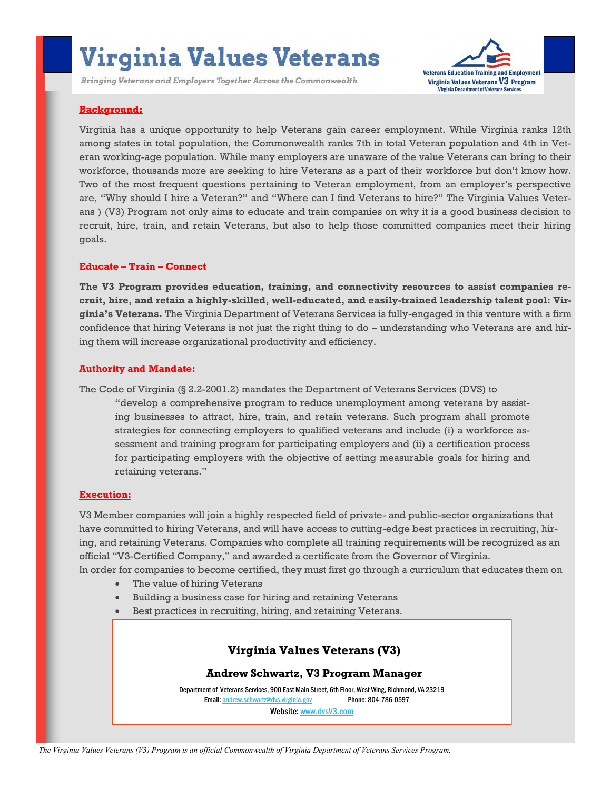# **Virginia Values Veterans**

Bringing Veterans and Employers Together Across the Commonwealth



## **Background:**

Virginia has a unique opportunity to help Veterans gain career employment. While Virginia ranks 12th among states in total population, the Commonwealth ranks 7th in total Veteran population and 4th in Veteran working-age population. While many employers are unaware of the value Veterans can bring to their workforce, thousands more are seeking to hire Veterans as a part of their workforce but don't know how. Two of the most frequent questions pertaining to Veteran employment, from an employer's perspective are, "Why should I hire a Veteran?" and "Where can I find Veterans to hire?" The Virginia Values Veterans ) (V3) Program not only aims to educate and train companies on why it is a good business decision to recruit, hire, train, and retain Veterans, but also to help those committed companies meet their hiring goals.

### **Educate – Train – Connect**

**The V3 Program provides education, training, and connectivity resources to assist companies recruit, hire, and retain a highly-skilled, well-educated, and easily-trained leadership talent pool: Virginia's Veterans.** The Virginia Department of Veterans Services is fully-engaged in this venture with a firm confidence that hiring Veterans is not just the right thing to do – understanding who Veterans are and hiring them will increase organizational productivity and efficiency.

## **Authority and Mandate:**

The Code of Virginia (§ 2.2-2001.2) mandates the Department of Veterans Services (DVS) to

"develop a comprehensive program to reduce unemployment among veterans by assisting businesses to attract, hire, train, and retain veterans. Such program shall promote strategies for connecting employers to qualified veterans and include (i) a workforce assessment and training program for participating employers and (ii) a certification process for participating employers with the objective of setting measurable goals for hiring and retaining veterans."

### **Execution:**

V3 Member companies will join a highly respected field of private- and public-sector organizations that have committed to hiring Veterans, and will have access to cutting-edge best practices in recruiting, hiring, and retaining Veterans. Companies who complete all training requirements will be recognized as an official "V3-Certified Company," and awarded a certificate from the Governor of Virginia. In order for companies to become certified, they must first go through a curriculum that educates them on

- The value of hiring Veterans
- Building a business case for hiring and retaining Veterans
- Best practices in recruiting, hiring, and retaining Veterans.

# **Virginia Values Veterans (V3)**

**Andrew Schwartz, V3 Program Manager** 

Department of Veterans Services, 900 East Main Street, 6th Floor, West Wing, Richmond, VA 23219 Email: [andrew.schwartz@dvs.virginia.gov](mailto:andrew.schwartz@dvs.virginia.gov) Phone: 804-786-0597

Website: [www.dvsV3.com](http://www.dvsv3.com) 

*The Virginia Values Veterans (V3) Program is an official Commonwealth of Virginia Department of Veterans Services Program.*